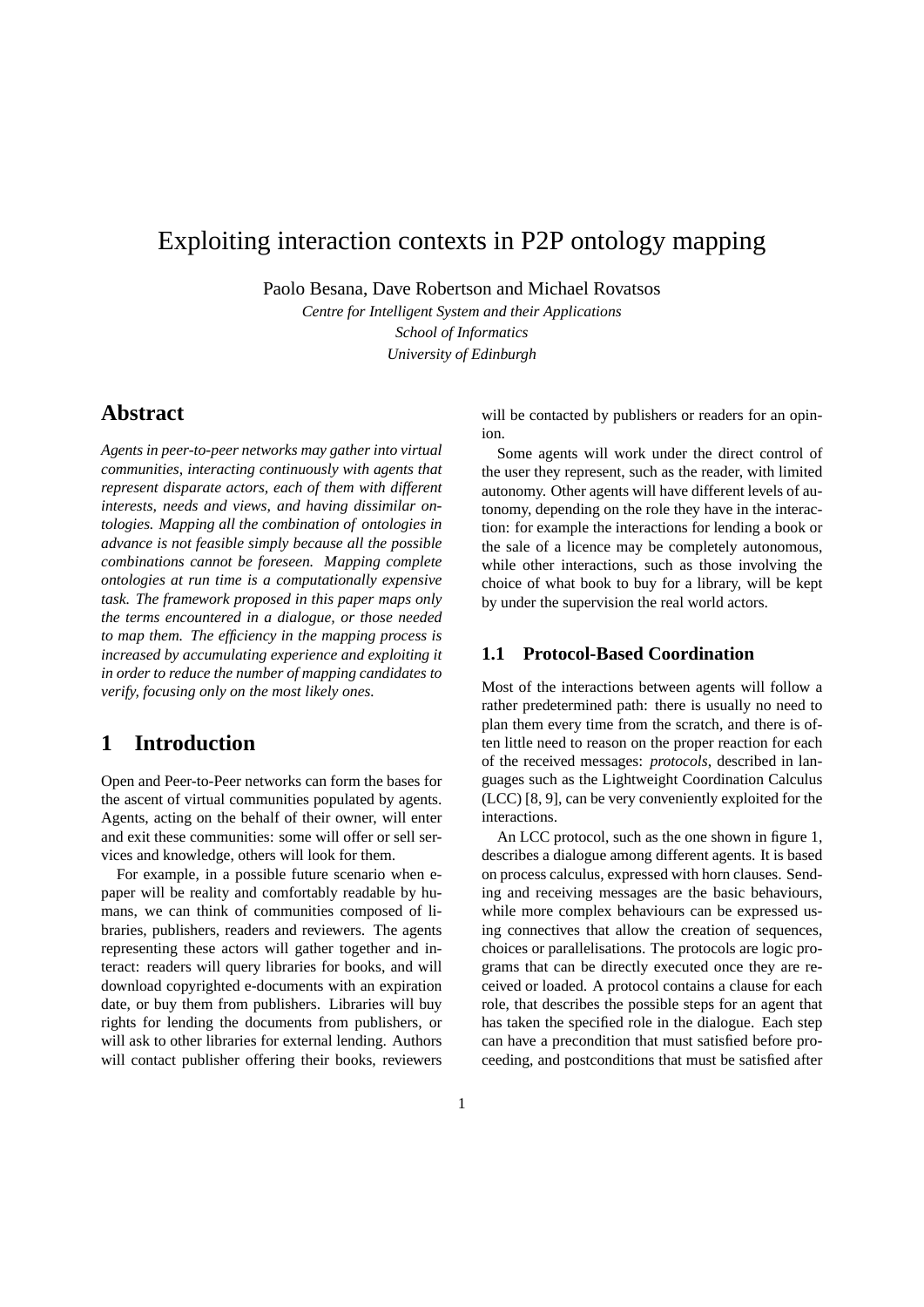# Exploiting interaction contexts in P2P ontology mapping

Paolo Besana, Dave Robertson and Michael Rovatsos

*Centre for Intelligent System and their Applications School of Informatics University of Edinburgh*

# **Abstract**

*Agents in peer-to-peer networks may gather into virtual communities, interacting continuously with agents that represent disparate actors, each of them with different interests, needs and views, and having dissimilar ontologies. Mapping all the combination of ontologies in advance is not feasible simply because all the possible combinations cannot be foreseen. Mapping complete ontologies at run time is a computationally expensive task. The framework proposed in this paper maps only the terms encountered in a dialogue, or those needed to map them. The efficiency in the mapping process is increased by accumulating experience and exploiting it in order to reduce the number of mapping candidates to verify, focusing only on the most likely ones.*

# **1 Introduction**

Open and Peer-to-Peer networks can form the bases for the ascent of virtual communities populated by agents. Agents, acting on the behalf of their owner, will enter and exit these communities: some will offer or sell services and knowledge, others will look for them.

For example, in a possible future scenario when epaper will be reality and comfortably readable by humans, we can think of communities composed of libraries, publishers, readers and reviewers. The agents representing these actors will gather together and interact: readers will query libraries for books, and will download copyrighted e-documents with an expiration date, or buy them from publishers. Libraries will buy rights for lending the documents from publishers, or will ask to other libraries for external lending. Authors will contact publisher offering their books, reviewers will be contacted by publishers or readers for an opinion.

Some agents will work under the direct control of the user they represent, such as the reader, with limited autonomy. Other agents will have different levels of autonomy, depending on the role they have in the interaction: for example the interactions for lending a book or the sale of a licence may be completely autonomous, while other interactions, such as those involving the choice of what book to buy for a library, will be kept by under the supervision the real world actors.

# **1.1 Protocol-Based Coordination**

Most of the interactions between agents will follow a rather predetermined path: there is usually no need to plan them every time from the scratch, and there is often little need to reason on the proper reaction for each of the received messages: *protocols*, described in languages such as the Lightweight Coordination Calculus (LCC) [8, 9], can be very conveniently exploited for the interactions.

An LCC protocol, such as the one shown in figure 1, describes a dialogue among different agents. It is based on process calculus, expressed with horn clauses. Sending and receiving messages are the basic behaviours, while more complex behaviours can be expressed using connectives that allow the creation of sequences, choices or parallelisations. The protocols are logic programs that can be directly executed once they are received or loaded. A protocol contains a clause for each role, that describes the possible steps for an agent that has taken the specified role in the dialogue. Each step can have a precondition that must satisfied before proceeding, and postconditions that must be satisfied after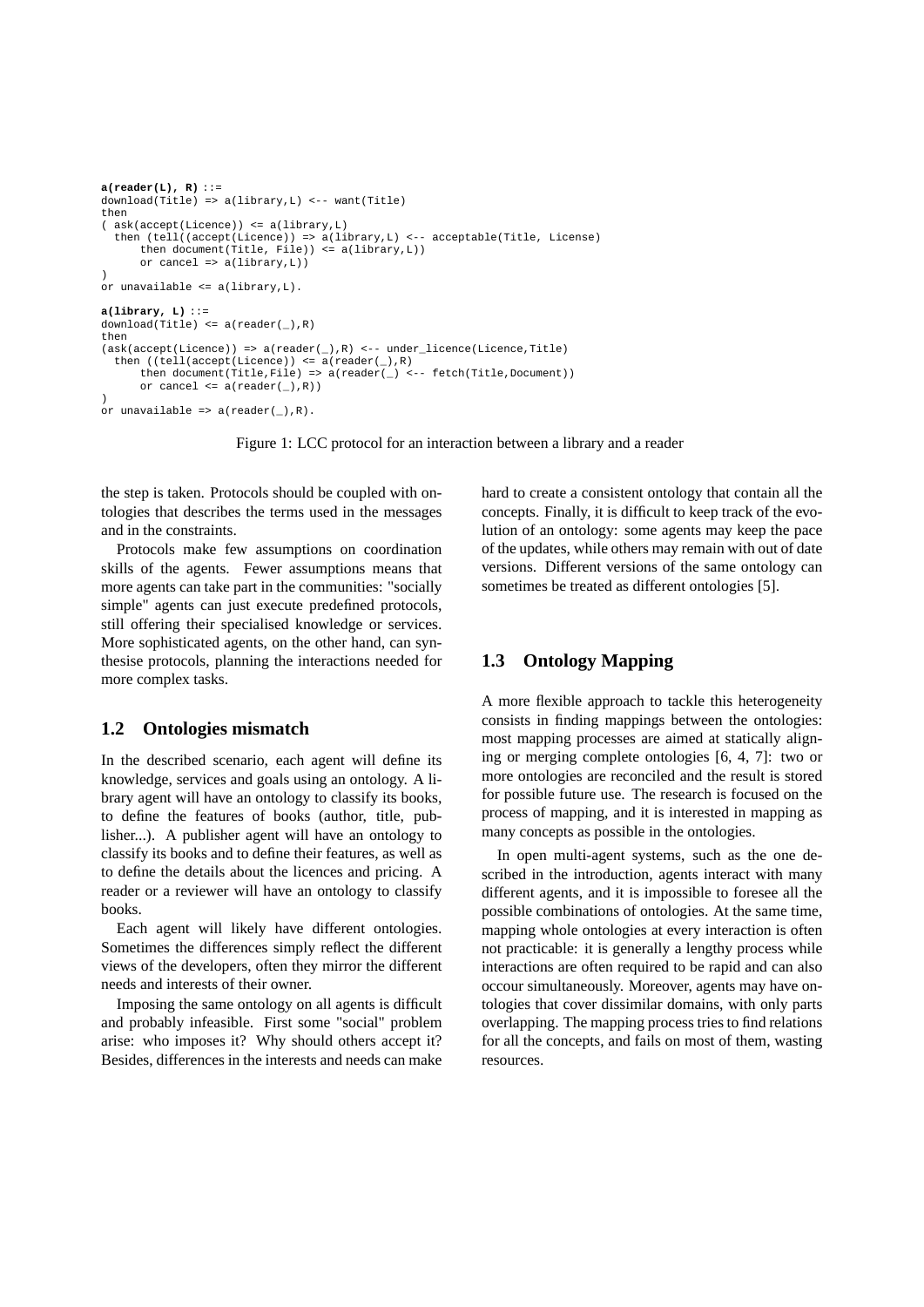```
a(reader(L), R) ::=
download(Title) => a(library,L) <-- want(Title)
then
( ask(accept(Licence)) <= a(library,L)
  then (tell((accept(Licence)) => a(library,L) <-- acceptable(Title, License)
then document(Title, File)) <= a(library,L))
       or cancel => a(library,L))
)
or unavailable <= a(library,L).
a(library, L) ::=
download(Title) \leq a(reader(\_), R)then
(ask(accept(Licence)) => a(reader(_),R) <-- under_licence(Licence,Title)
  then ((\text{tell}(accept(\text{Licence})) \leq a(\text{reader}(\_) , R)then document(Title,File) => a(reader(\_) <-- fetch(Title,Document))
       or cancel <= a(reader(_),R))
\lambdaor unavailable => a(reader(_),R).
```
Figure 1: LCC protocol for an interaction between a library and a reader

the step is taken. Protocols should be coupled with ontologies that describes the terms used in the messages and in the constraints.

Protocols make few assumptions on coordination skills of the agents. Fewer assumptions means that more agents can take part in the communities: "socially simple" agents can just execute predefined protocols, still offering their specialised knowledge or services. More sophisticated agents, on the other hand, can synthesise protocols, planning the interactions needed for more complex tasks.

## **1.2 Ontologies mismatch**

In the described scenario, each agent will define its knowledge, services and goals using an ontology. A library agent will have an ontology to classify its books, to define the features of books (author, title, publisher...). A publisher agent will have an ontology to classify its books and to define their features, as well as to define the details about the licences and pricing. A reader or a reviewer will have an ontology to classify books.

Each agent will likely have different ontologies. Sometimes the differences simply reflect the different views of the developers, often they mirror the different needs and interests of their owner.

Imposing the same ontology on all agents is difficult and probably infeasible. First some "social" problem arise: who imposes it? Why should others accept it? Besides, differences in the interests and needs can make hard to create a consistent ontology that contain all the concepts. Finally, it is difficult to keep track of the evolution of an ontology: some agents may keep the pace of the updates, while others may remain with out of date versions. Different versions of the same ontology can sometimes be treated as different ontologies [5].

# **1.3 Ontology Mapping**

A more flexible approach to tackle this heterogeneity consists in finding mappings between the ontologies: most mapping processes are aimed at statically aligning or merging complete ontologies [6, 4, 7]: two or more ontologies are reconciled and the result is stored for possible future use. The research is focused on the process of mapping, and it is interested in mapping as many concepts as possible in the ontologies.

In open multi-agent systems, such as the one described in the introduction, agents interact with many different agents, and it is impossible to foresee all the possible combinations of ontologies. At the same time, mapping whole ontologies at every interaction is often not practicable: it is generally a lengthy process while interactions are often required to be rapid and can also occour simultaneously. Moreover, agents may have ontologies that cover dissimilar domains, with only parts overlapping. The mapping process tries to find relations for all the concepts, and fails on most of them, wasting resources.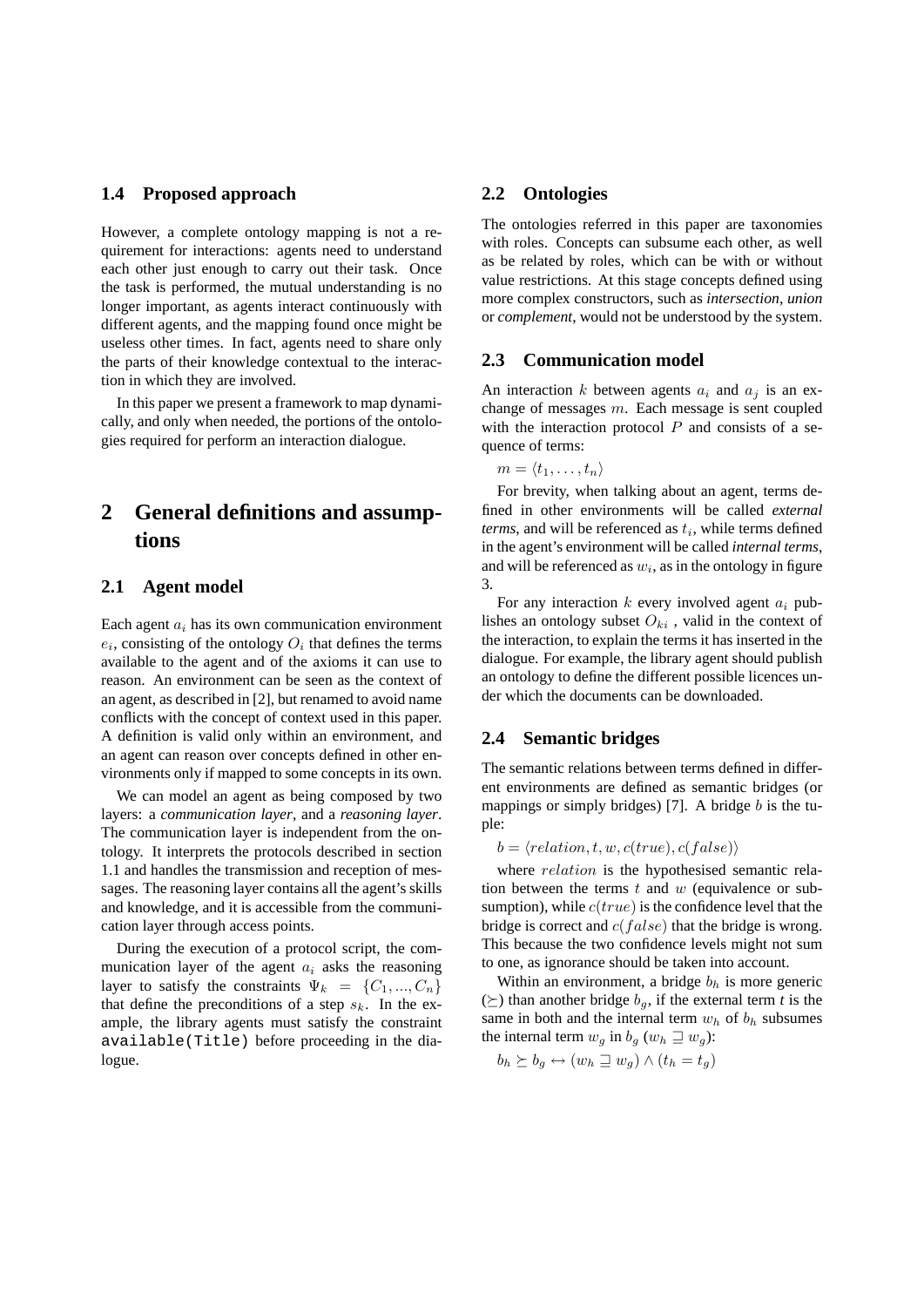## **1.4 Proposed approach**

However, a complete ontology mapping is not a requirement for interactions: agents need to understand each other just enough to carry out their task. Once the task is performed, the mutual understanding is no longer important, as agents interact continuously with different agents, and the mapping found once might be useless other times. In fact, agents need to share only the parts of their knowledge contextual to the interaction in which they are involved.

In this paper we present a framework to map dynamically, and only when needed, the portions of the ontologies required for perform an interaction dialogue.

# **2 General definitions and assumptions**

## **2.1 Agent model**

Each agent  $a_i$  has its own communication environment  $e_i$ , consisting of the ontology  $O_i$  that defines the terms available to the agent and of the axioms it can use to reason. An environment can be seen as the context of an agent, as described in [2], but renamed to avoid name conflicts with the concept of context used in this paper. A definition is valid only within an environment, and an agent can reason over concepts defined in other environments only if mapped to some concepts in its own.

We can model an agent as being composed by two layers: a *communication layer*, and a *reasoning layer*. The communication layer is independent from the ontology. It interprets the protocols described in section 1.1 and handles the transmission and reception of messages. The reasoning layer contains all the agent's skills and knowledge, and it is accessible from the communication layer through access points.

During the execution of a protocol script, the communication layer of the agent  $a_i$  asks the reasoning layer to satisfy the constraints  $\Psi_k = \{C_1, ..., C_n\}$ that define the preconditions of a step  $s_k$ . In the example, the library agents must satisfy the constraint available(Title) before proceeding in the dialogue.

## **2.2 Ontologies**

The ontologies referred in this paper are taxonomies with roles. Concepts can subsume each other, as well as be related by roles, which can be with or without value restrictions. At this stage concepts defined using more complex constructors, such as *intersection*, *union* or *complement*, would not be understood by the system.

### **2.3 Communication model**

An interaction k between agents  $a_i$  and  $a_j$  is an exchange of messages  $m$ . Each message is sent coupled with the interaction protocol  $P$  and consists of a sequence of terms:

 $m = \langle t_1, \ldots, t_n \rangle$ 

For brevity, when talking about an agent, terms defined in other environments will be called *external*  $terms,$  and will be referenced as  $t_i$ , while terms defined in the agent's environment will be called *internal terms*, and will be referenced as  $w_i$ , as in the ontology in figure 3.

For any interaction  $k$  every involved agent  $a_i$  publishes an ontology subset  $O_{ki}$ , valid in the context of the interaction, to explain the terms it has inserted in the dialogue. For example, the library agent should publish an ontology to define the different possible licences under which the documents can be downloaded.

## **2.4 Semantic bridges**

The semantic relations between terms defined in different environments are defined as semantic bridges (or mappings or simply bridges) [7]. A bridge  $b$  is the tuple:

$$
b = \langle relation, t, w, c(true), c(false) \rangle
$$

where *relation* is the hypothesised semantic relation between the terms  $t$  and  $w$  (equivalence or subsumption), while  $c(true)$  is the confidence level that the bridge is correct and  $c(false)$  that the bridge is wrong. This because the two confidence levels might not sum to one, as ignorance should be taken into account.

Within an environment, a bridge  $b<sub>h</sub>$  is more generic  $(\succeq)$  than another bridge  $b_{q}$ , if the external term *t* is the same in both and the internal term  $w_h$  of  $b_h$  subsumes the internal term  $w_q$  in  $b_q$  ( $w_h \sqsupseteq w_q$ ):

$$
b_h \succeq b_g \leftrightarrow (w_h \sqsupseteq w_g) \wedge (t_h = t_g)
$$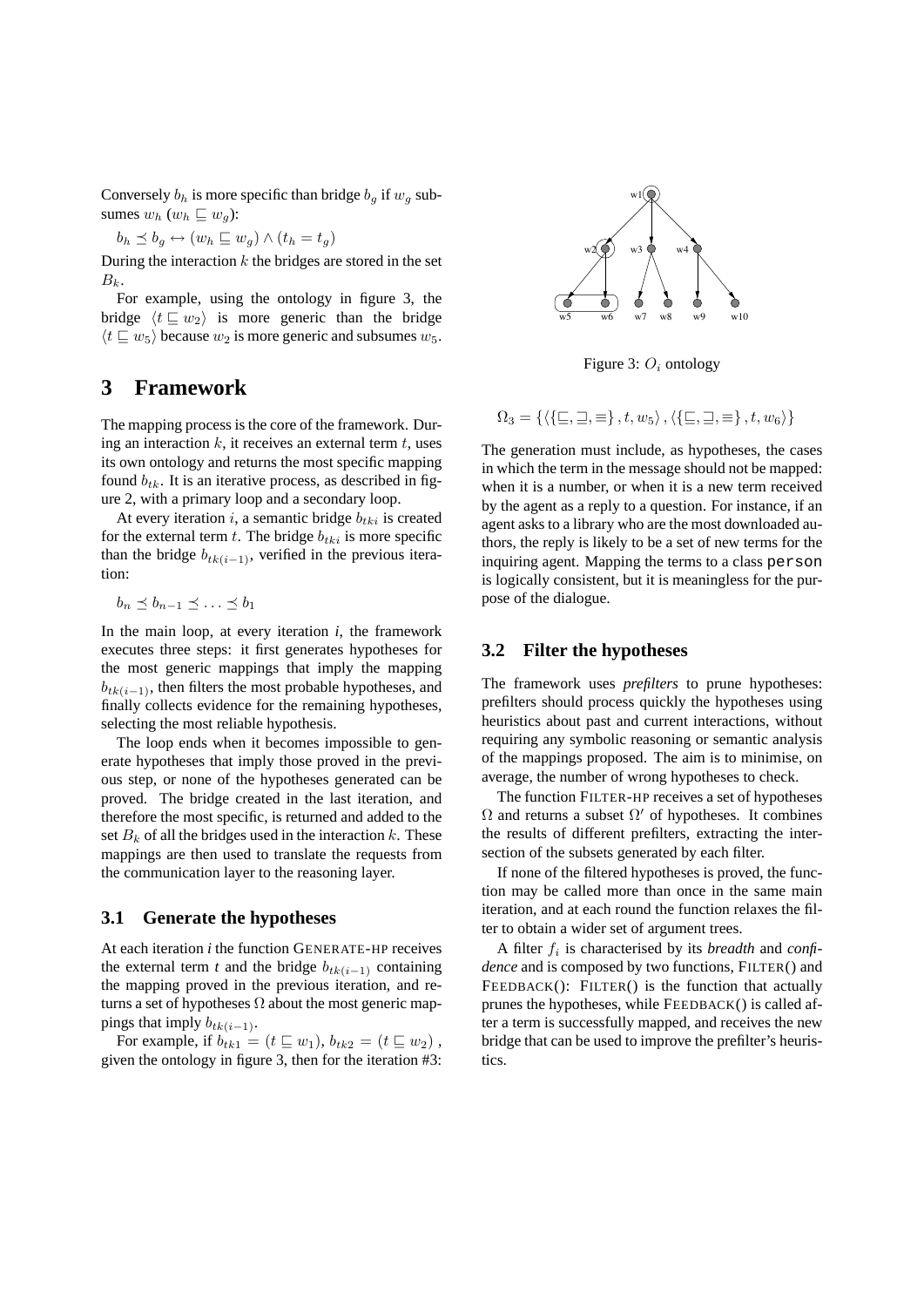Conversely  $b_h$  is more specific than bridge  $b_g$  if  $w_g$  subsumes  $w_h$  ( $w_h \sqsubseteq w_g$ ):

$$
b_h \preceq b_g \leftrightarrow (w_h \sqsubseteq w_g) \land (t_h = t_g)
$$

During the interaction  $k$  the bridges are stored in the set  $B_k$ .

For example, using the ontology in figure 3, the bridge  $\langle t \sqsubseteq w_2 \rangle$  is more generic than the bridge  $\langle t \sqsubseteq w_5 \rangle$  because  $w_2$  is more generic and subsumes  $w_5$ .

# **3 Framework**

The mapping process is the core of the framework. During an interaction  $k$ , it receives an external term  $t$ , uses its own ontology and returns the most specific mapping found  $b_{tk}$ . It is an iterative process, as described in figure 2, with a primary loop and a secondary loop.

At every iteration  $i$ , a semantic bridge  $b_{tki}$  is created for the external term t. The bridge  $b_{tki}$  is more specific than the bridge  $b_{tk(i-1)}$ , verified in the previous iteration:

$$
b_n \preceq b_{n-1} \preceq \ldots \preceq b_1
$$

In the main loop, at every iteration  $i$ , the framework executes three steps: it first generates hypotheses for the most generic mappings that imply the mapping  $b_{tk(i-1)}$ , then filters the most probable hypotheses, and finally collects evidence for the remaining hypotheses, selecting the most reliable hypothesis.

The loop ends when it becomes impossible to generate hypotheses that imply those proved in the previous step, or none of the hypotheses generated can be proved. The bridge created in the last iteration, and therefore the most specific, is returned and added to the set  $B_k$  of all the bridges used in the interaction k. These mappings are then used to translate the requests from the communication layer to the reasoning layer.

## **3.1 Generate the hypotheses**

At each iteration *i* the function GENERATE-HP receives the external term *t* and the bridge  $b_{tk(i-1)}$  containing the mapping proved in the previous iteration, and returns a set of hypotheses  $\Omega$  about the most generic mappings that imply  $b_{tk(i-1)}$ .

For example, if  $b_{tk1} = (t \sqsubseteq w_1), b_{tk2} = (t \sqsubseteq w_2)$ , given the ontology in figure 3, then for the iteration #3:



Figure 3:  $O_i$  ontology

 $\Omega_3 = \{ \langle \{\square, \square, \equiv \}, t, w_5 \rangle, \langle \{\square, \square, \equiv \}, t, w_6 \rangle \}$ 

The generation must include, as hypotheses, the cases in which the term in the message should not be mapped: when it is a number, or when it is a new term received by the agent as a reply to a question. For instance, if an agent asks to a library who are the most downloaded authors, the reply is likely to be a set of new terms for the inquiring agent. Mapping the terms to a class person is logically consistent, but it is meaningless for the purpose of the dialogue.

## **3.2 Filter the hypotheses**

The framework uses *prefilters* to prune hypotheses: prefilters should process quickly the hypotheses using heuristics about past and current interactions, without requiring any symbolic reasoning or semantic analysis of the mappings proposed. The aim is to minimise, on average, the number of wrong hypotheses to check.

The function FILTER-HP receives a set of hypotheses  $\Omega$  and returns a subset  $\Omega'$  of hypotheses. It combines the results of different prefilters, extracting the intersection of the subsets generated by each filter.

If none of the filtered hypotheses is proved, the function may be called more than once in the same main iteration, and at each round the function relaxes the filter to obtain a wider set of argument trees.

A filter  $f_i$  is characterised by its *breadth* and *confidence* and is composed by two functions, FILTER() and FEEDBACK(): FILTER() is the function that actually prunes the hypotheses, while FEEDBACK() is called after a term is successfully mapped, and receives the new bridge that can be used to improve the prefilter's heuristics.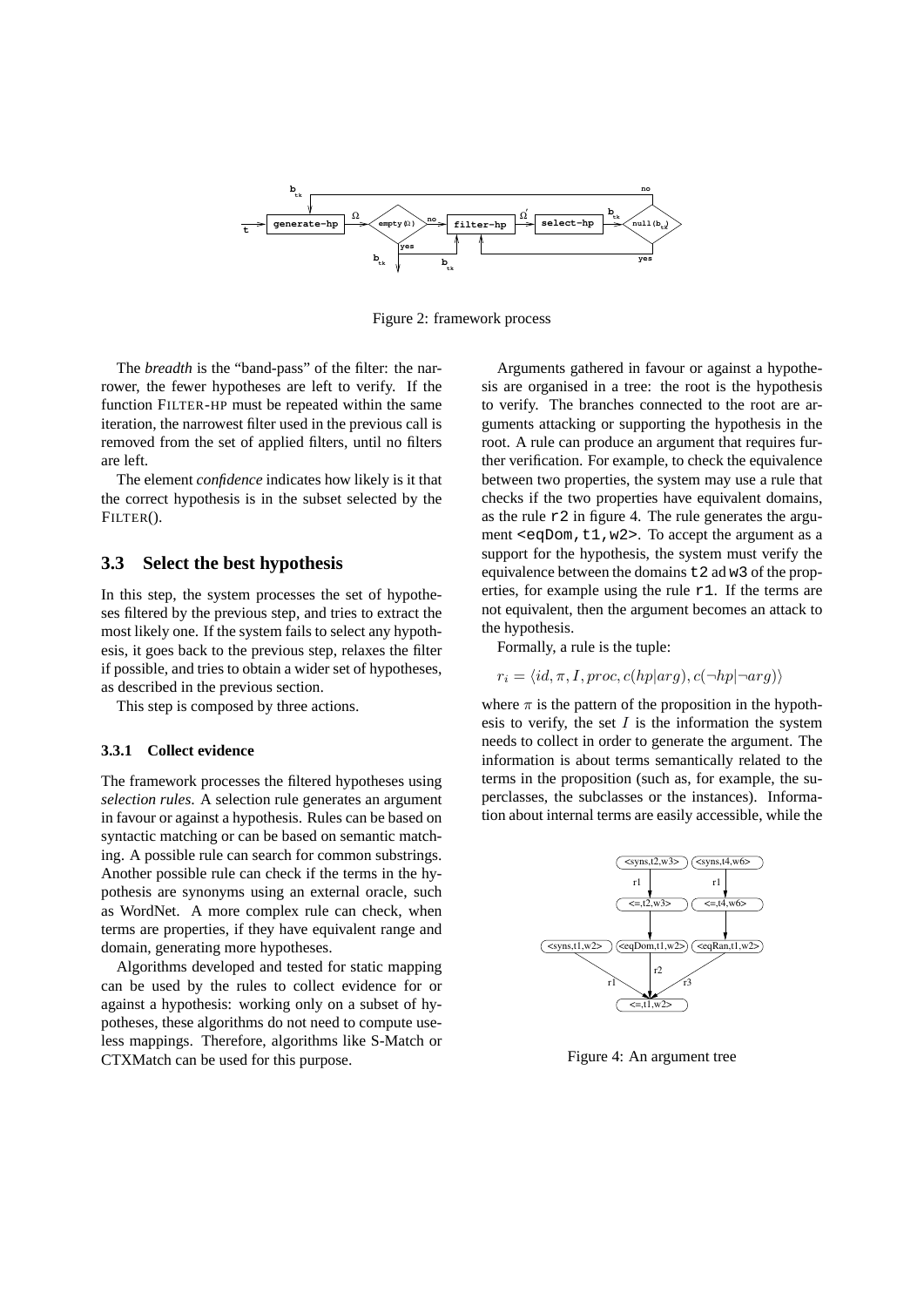

Figure 2: framework process

The *breadth* is the "band-pass" of the filter: the narrower, the fewer hypotheses are left to verify. If the function FILTER-HP must be repeated within the same iteration, the narrowest filter used in the previous call is removed from the set of applied filters, until no filters are left.

The element *confidence* indicates how likely is it that the correct hypothesis is in the subset selected by the FILTER().

## **3.3 Select the best hypothesis**

In this step, the system processes the set of hypotheses filtered by the previous step, and tries to extract the most likely one. If the system fails to select any hypothesis, it goes back to the previous step, relaxes the filter if possible, and tries to obtain a wider set of hypotheses, as described in the previous section.

This step is composed by three actions.

### **3.3.1 Collect evidence**

The framework processes the filtered hypotheses using *selection rules*. A selection rule generates an argument in favour or against a hypothesis. Rules can be based on syntactic matching or can be based on semantic matching. A possible rule can search for common substrings. Another possible rule can check if the terms in the hypothesis are synonyms using an external oracle, such as WordNet. A more complex rule can check, when terms are properties, if they have equivalent range and domain, generating more hypotheses.

Algorithms developed and tested for static mapping can be used by the rules to collect evidence for or against a hypothesis: working only on a subset of hypotheses, these algorithms do not need to compute useless mappings. Therefore, algorithms like S-Match or CTXMatch can be used for this purpose.

Arguments gathered in favour or against a hypothesis are organised in a tree: the root is the hypothesis to verify. The branches connected to the root are arguments attacking or supporting the hypothesis in the root. A rule can produce an argument that requires further verification. For example, to check the equivalence between two properties, the system may use a rule that checks if the two properties have equivalent domains, as the rule  $r2$  in figure 4. The rule generates the argument  $\leq$ eqDom,t1,w2>. To accept the argument as a support for the hypothesis, the system must verify the equivalence between the domains t2 ad w3 of the properties, for example using the rule r1. If the terms are not equivalent, then the argument becomes an attack to the hypothesis.

Formally, a rule is the tuple:

$$
r_i = \langle id, \pi, I, proc, c(hp|arg), c(\neg hp|\neg arg) \rangle
$$

where  $\pi$  is the pattern of the proposition in the hypothesis to verify, the set  $I$  is the information the system needs to collect in order to generate the argument. The information is about terms semantically related to the terms in the proposition (such as, for example, the superclasses, the subclasses or the instances). Information about internal terms are easily accessible, while the



Figure 4: An argument tree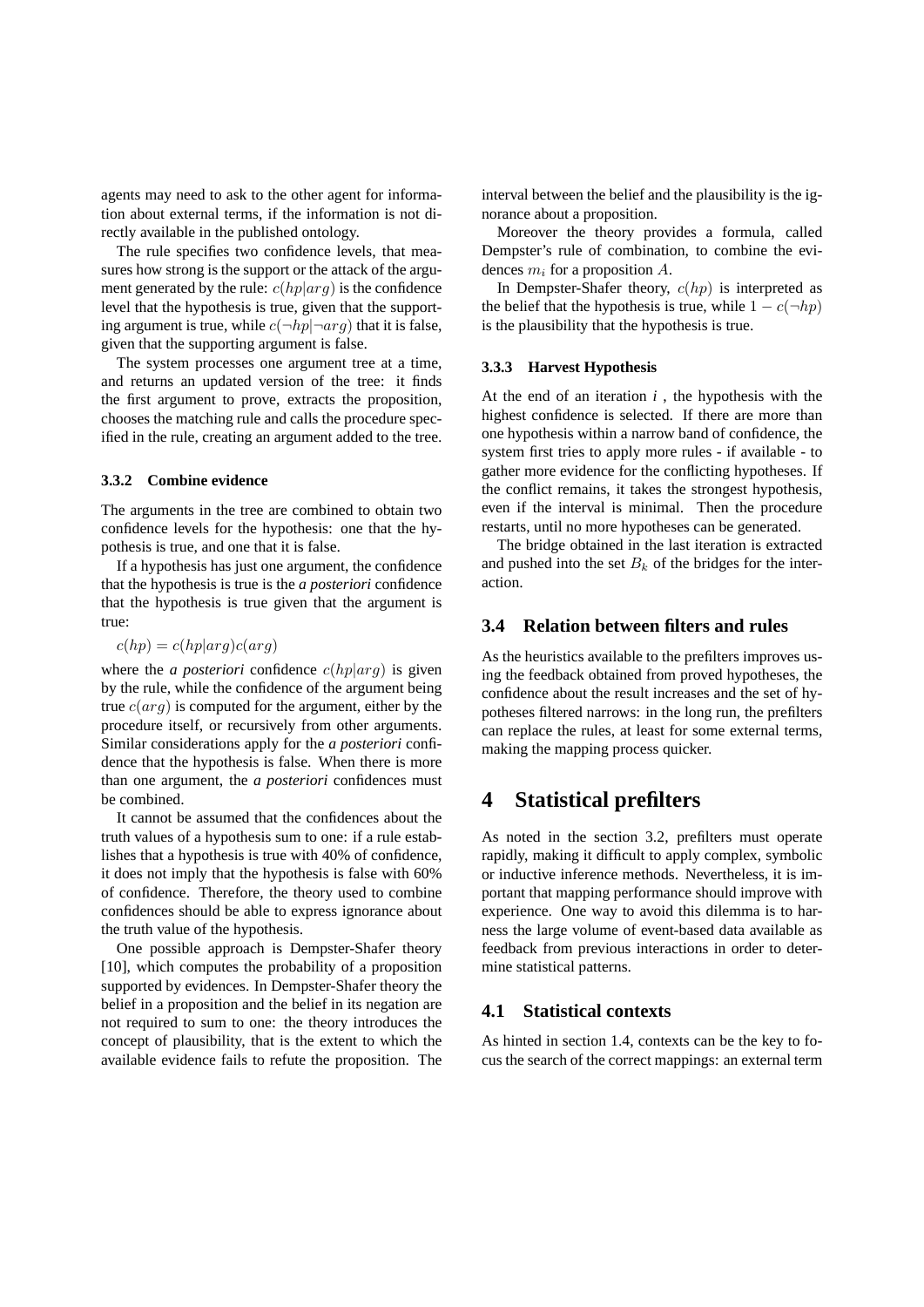agents may need to ask to the other agent for information about external terms, if the information is not directly available in the published ontology.

The rule specifies two confidence levels, that measures how strong is the support or the attack of the argument generated by the rule:  $c(hp|arg)$  is the confidence level that the hypothesis is true, given that the supporting argument is true, while  $c(\neg hp|\neg arg)$  that it is false, given that the supporting argument is false.

The system processes one argument tree at a time, and returns an updated version of the tree: it finds the first argument to prove, extracts the proposition, chooses the matching rule and calls the procedure specified in the rule, creating an argument added to the tree.

#### **3.3.2 Combine evidence**

The arguments in the tree are combined to obtain two confidence levels for the hypothesis: one that the hypothesis is true, and one that it is false.

If a hypothesis has just one argument, the confidence that the hypothesis is true is the *a posteriori* confidence that the hypothesis is true given that the argument is true:

### $c(hp) = c(hp|arg)c(arg)$

where the *a posteriori* confidence  $c(hp|arg)$  is given by the rule, while the confidence of the argument being true  $c(\text{arg})$  is computed for the argument, either by the procedure itself, or recursively from other arguments. Similar considerations apply for the *a posteriori* confidence that the hypothesis is false. When there is more than one argument, the *a posteriori* confidences must be combined.

It cannot be assumed that the confidences about the truth values of a hypothesis sum to one: if a rule establishes that a hypothesis is true with 40% of confidence, it does not imply that the hypothesis is false with 60% of confidence. Therefore, the theory used to combine confidences should be able to express ignorance about the truth value of the hypothesis.

One possible approach is Dempster-Shafer theory [10], which computes the probability of a proposition supported by evidences. In Dempster-Shafer theory the belief in a proposition and the belief in its negation are not required to sum to one: the theory introduces the concept of plausibility, that is the extent to which the available evidence fails to refute the proposition. The interval between the belief and the plausibility is the ignorance about a proposition.

Moreover the theory provides a formula, called Dempster's rule of combination, to combine the evidences  $m_i$  for a proposition A.

In Dempster-Shafer theory,  $c(hp)$  is interpreted as the belief that the hypothesis is true, while  $1 - c(\neg hp)$ is the plausibility that the hypothesis is true.

### **3.3.3 Harvest Hypothesis**

At the end of an iteration *i* , the hypothesis with the highest confidence is selected. If there are more than one hypothesis within a narrow band of confidence, the system first tries to apply more rules - if available - to gather more evidence for the conflicting hypotheses. If the conflict remains, it takes the strongest hypothesis, even if the interval is minimal. Then the procedure restarts, until no more hypotheses can be generated.

The bridge obtained in the last iteration is extracted and pushed into the set  $B_k$  of the bridges for the interaction.

### **3.4 Relation between filters and rules**

As the heuristics available to the prefilters improves using the feedback obtained from proved hypotheses, the confidence about the result increases and the set of hypotheses filtered narrows: in the long run, the prefilters can replace the rules, at least for some external terms, making the mapping process quicker.

# **4 Statistical prefilters**

As noted in the section 3.2, prefilters must operate rapidly, making it difficult to apply complex, symbolic or inductive inference methods. Nevertheless, it is important that mapping performance should improve with experience. One way to avoid this dilemma is to harness the large volume of event-based data available as feedback from previous interactions in order to determine statistical patterns.

## **4.1 Statistical contexts**

As hinted in section 1.4, contexts can be the key to focus the search of the correct mappings: an external term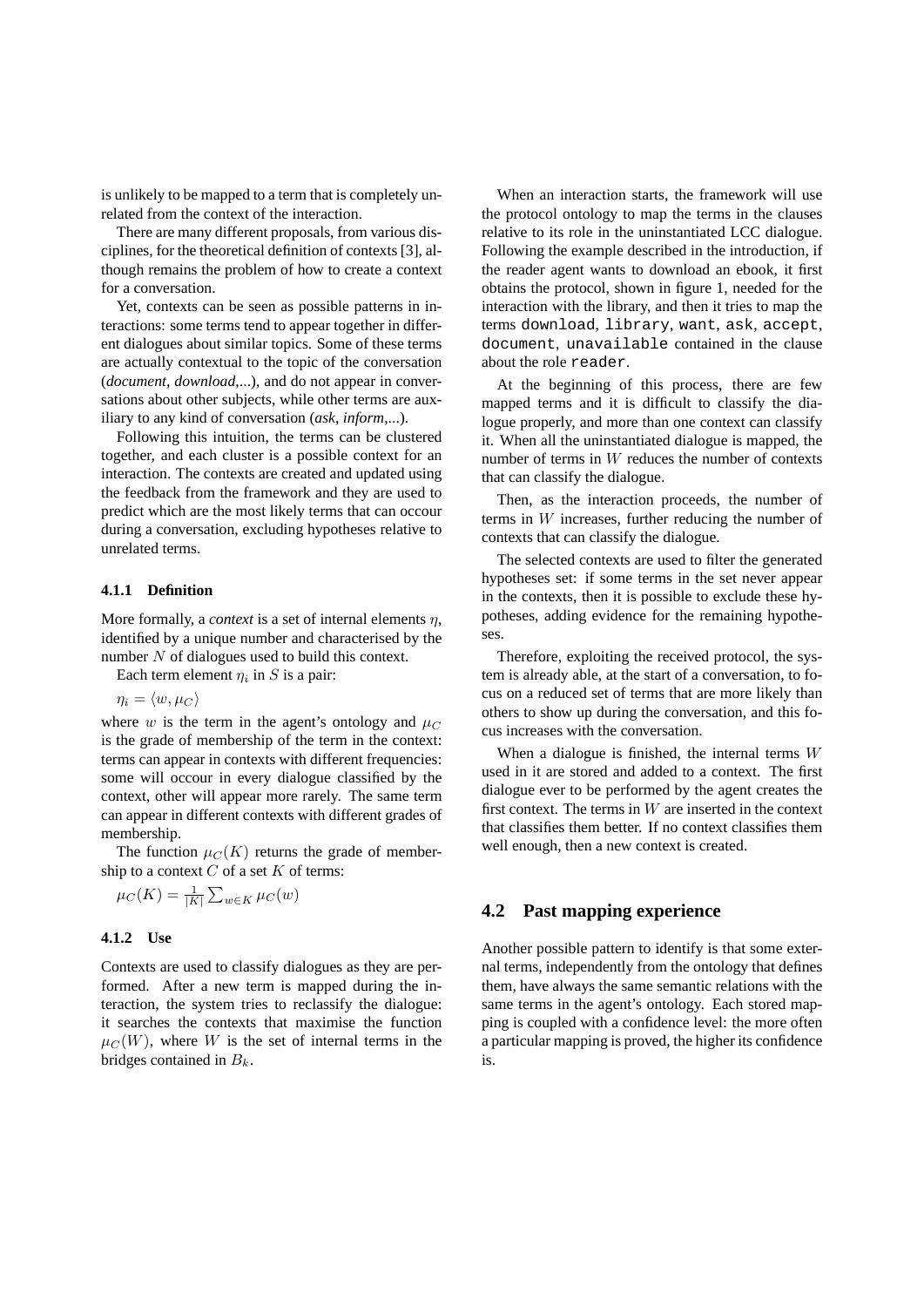is unlikely to be mapped to a term that is completely unrelated from the context of the interaction.

There are many different proposals, from various disciplines, for the theoretical definition of contexts [3], although remains the problem of how to create a context for a conversation.

Yet, contexts can be seen as possible patterns in interactions: some terms tend to appear together in different dialogues about similar topics. Some of these terms are actually contextual to the topic of the conversation (*document, download*,...), and do not appear in conversations about other subjects, while other terms are auxiliary to any kind of conversation (*ask*, *inform*,...).

Following this intuition, the terms can be clustered together, and each cluster is a possible context for an interaction. The contexts are created and updated using the feedback from the framework and they are used to predict which are the most likely terms that can occour during a conversation, excluding hypotheses relative to unrelated terms.

## **4.1.1 Definition**

More formally, a *context* is a set of internal elements  $\eta$ , identified by a unique number and characterised by the number  $N$  of dialogues used to build this context.

Each term element  $\eta_i$  in S is a pair:

 $\eta_i = \langle w, \mu_C \rangle$ 

where w is the term in the agent's ontology and  $\mu_C$ is the grade of membership of the term in the context: terms can appear in contexts with different frequencies: some will occour in every dialogue classified by the context, other will appear more rarely. The same term can appear in different contexts with different grades of membership.

The function  $\mu_C(K)$  returns the grade of membership to a context  $C$  of a set  $K$  of terms:

$$
\mu_C(K) = \frac{1}{|K|} \sum_{w \in K} \mu_C(w)
$$

### **4.1.2 Use**

Contexts are used to classify dialogues as they are performed. After a new term is mapped during the interaction, the system tries to reclassify the dialogue: it searches the contexts that maximise the function  $\mu_C(W)$ , where W is the set of internal terms in the bridges contained in  $B_k$ .

When an interaction starts, the framework will use the protocol ontology to map the terms in the clauses relative to its role in the uninstantiated LCC dialogue. Following the example described in the introduction, if the reader agent wants to download an ebook, it first obtains the protocol, shown in figure 1, needed for the interaction with the library, and then it tries to map the terms download, library, want, ask, accept, document, unavailable contained in the clause about the role reader.

At the beginning of this process, there are few mapped terms and it is difficult to classify the dialogue properly, and more than one context can classify it. When all the uninstantiated dialogue is mapped, the number of terms in W reduces the number of contexts that can classify the dialogue.

Then, as the interaction proceeds, the number of terms in W increases, further reducing the number of contexts that can classify the dialogue.

The selected contexts are used to filter the generated hypotheses set: if some terms in the set never appear in the contexts, then it is possible to exclude these hypotheses, adding evidence for the remaining hypotheses.

Therefore, exploiting the received protocol, the system is already able, at the start of a conversation, to focus on a reduced set of terms that are more likely than others to show up during the conversation, and this focus increases with the conversation.

When a dialogue is finished, the internal terms  $W$ used in it are stored and added to a context. The first dialogue ever to be performed by the agent creates the first context. The terms in  $W$  are inserted in the context that classifies them better. If no context classifies them well enough, then a new context is created.

# **4.2 Past mapping experience**

Another possible pattern to identify is that some external terms, independently from the ontology that defines them, have always the same semantic relations with the same terms in the agent's ontology. Each stored mapping is coupled with a confidence level: the more often a particular mapping is proved, the higher its confidence is.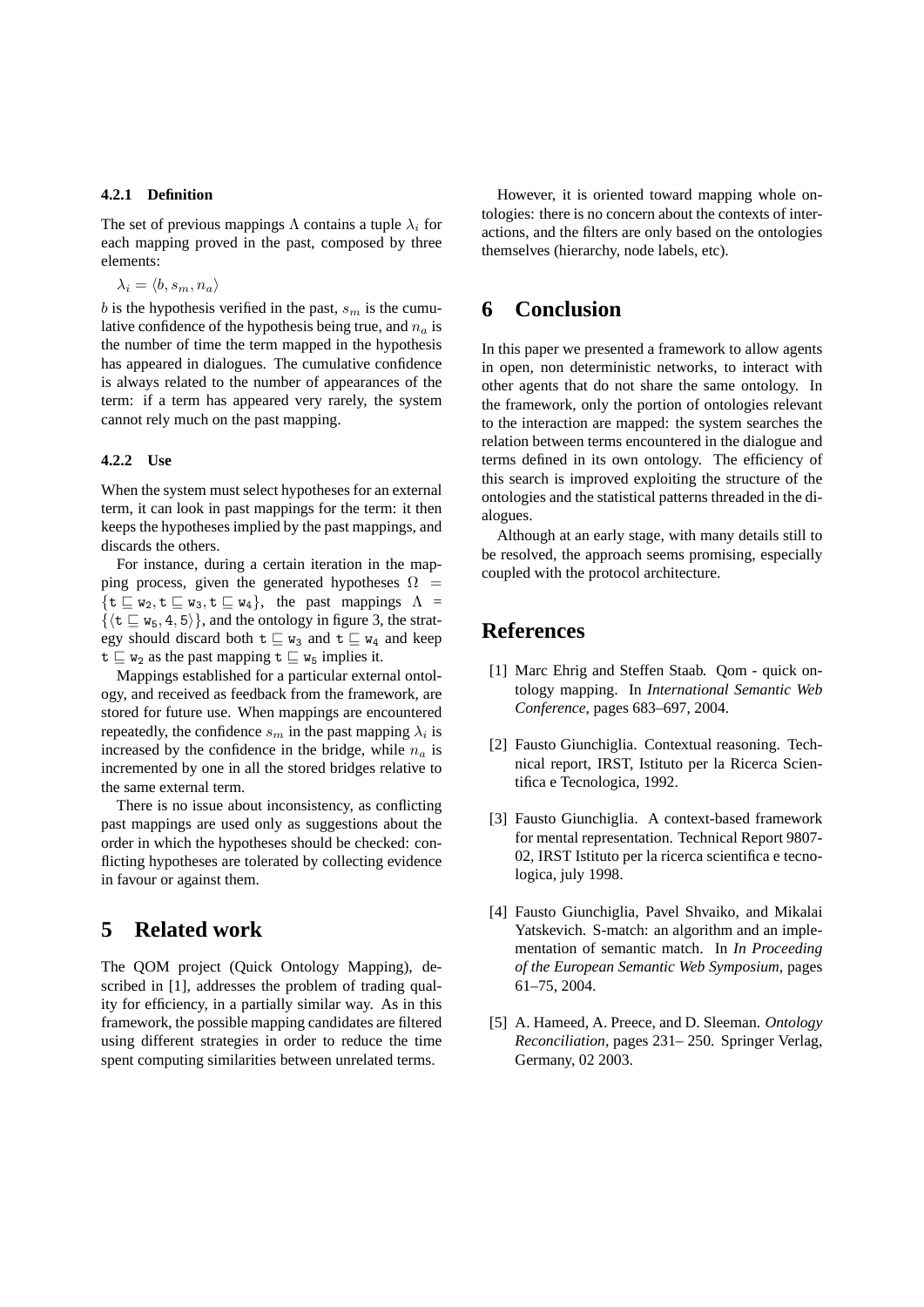#### **4.2.1 Definition**

The set of previous mappings  $\Lambda$  contains a tuple  $\lambda_i$  for each mapping proved in the past, composed by three elements:

 $\lambda_i = \langle b, s_m, n_a \rangle$ 

b is the hypothesis verified in the past,  $s_m$  is the cumulative confidence of the hypothesis being true, and  $n_a$  is the number of time the term mapped in the hypothesis has appeared in dialogues. The cumulative confidence is always related to the number of appearances of the term: if a term has appeared very rarely, the system cannot rely much on the past mapping.

### **4.2.2 Use**

When the system must select hypotheses for an external term, it can look in past mappings for the term: it then keeps the hypotheses implied by the past mappings, and discards the others.

For instance, during a certain iteration in the mapping process, given the generated hypotheses  $\Omega$  =  $\{t \sqsubseteq w_2, t \sqsubseteq w_3, t \sqsubseteq w_4\}$ , the past mappings  $\Lambda =$  $\{\langle t \sqsubseteq w_5, 4, 5\rangle\}$ , and the ontology in figure 3, the strategy should discard both  $t \sqsubseteq w_3$  and  $t \sqsubseteq w_4$  and keep  $t \subseteq w_2$  as the past mapping  $t \subseteq w_5$  implies it.

Mappings established for a particular external ontology, and received as feedback from the framework, are stored for future use. When mappings are encountered repeatedly, the confidence  $s_m$  in the past mapping  $\lambda_i$  is increased by the confidence in the bridge, while  $n_a$  is incremented by one in all the stored bridges relative to the same external term.

There is no issue about inconsistency, as conflicting past mappings are used only as suggestions about the order in which the hypotheses should be checked: conflicting hypotheses are tolerated by collecting evidence in favour or against them.

# **5 Related work**

The QOM project (Quick Ontology Mapping), described in [1], addresses the problem of trading quality for efficiency, in a partially similar way. As in this framework, the possible mapping candidates are filtered using different strategies in order to reduce the time spent computing similarities between unrelated terms.

However, it is oriented toward mapping whole ontologies: there is no concern about the contexts of interactions, and the filters are only based on the ontologies themselves (hierarchy, node labels, etc).

# **6 Conclusion**

In this paper we presented a framework to allow agents in open, non deterministic networks, to interact with other agents that do not share the same ontology. In the framework, only the portion of ontologies relevant to the interaction are mapped: the system searches the relation between terms encountered in the dialogue and terms defined in its own ontology. The efficiency of this search is improved exploiting the structure of the ontologies and the statistical patterns threaded in the dialogues.

Although at an early stage, with many details still to be resolved, the approach seems promising, especially coupled with the protocol architecture.

# **References**

- [1] Marc Ehrig and Steffen Staab. Qom quick ontology mapping. In *International Semantic Web Conference*, pages 683–697, 2004.
- [2] Fausto Giunchiglia. Contextual reasoning. Technical report, IRST, Istituto per la Ricerca Scientifica e Tecnologica, 1992.
- [3] Fausto Giunchiglia. A context-based framework for mental representation. Technical Report 9807- 02, IRST Istituto per la ricerca scientifica e tecnologica, july 1998.
- [4] Fausto Giunchiglia, Pavel Shvaiko, and Mikalai Yatskevich. S-match: an algorithm and an implementation of semantic match. In *In Proceeding of the European Semantic Web Symposium*, pages 61–75, 2004.
- [5] A. Hameed, A. Preece, and D. Sleeman. *Ontology Reconciliation*, pages 231– 250. Springer Verlag, Germany, 02 2003.